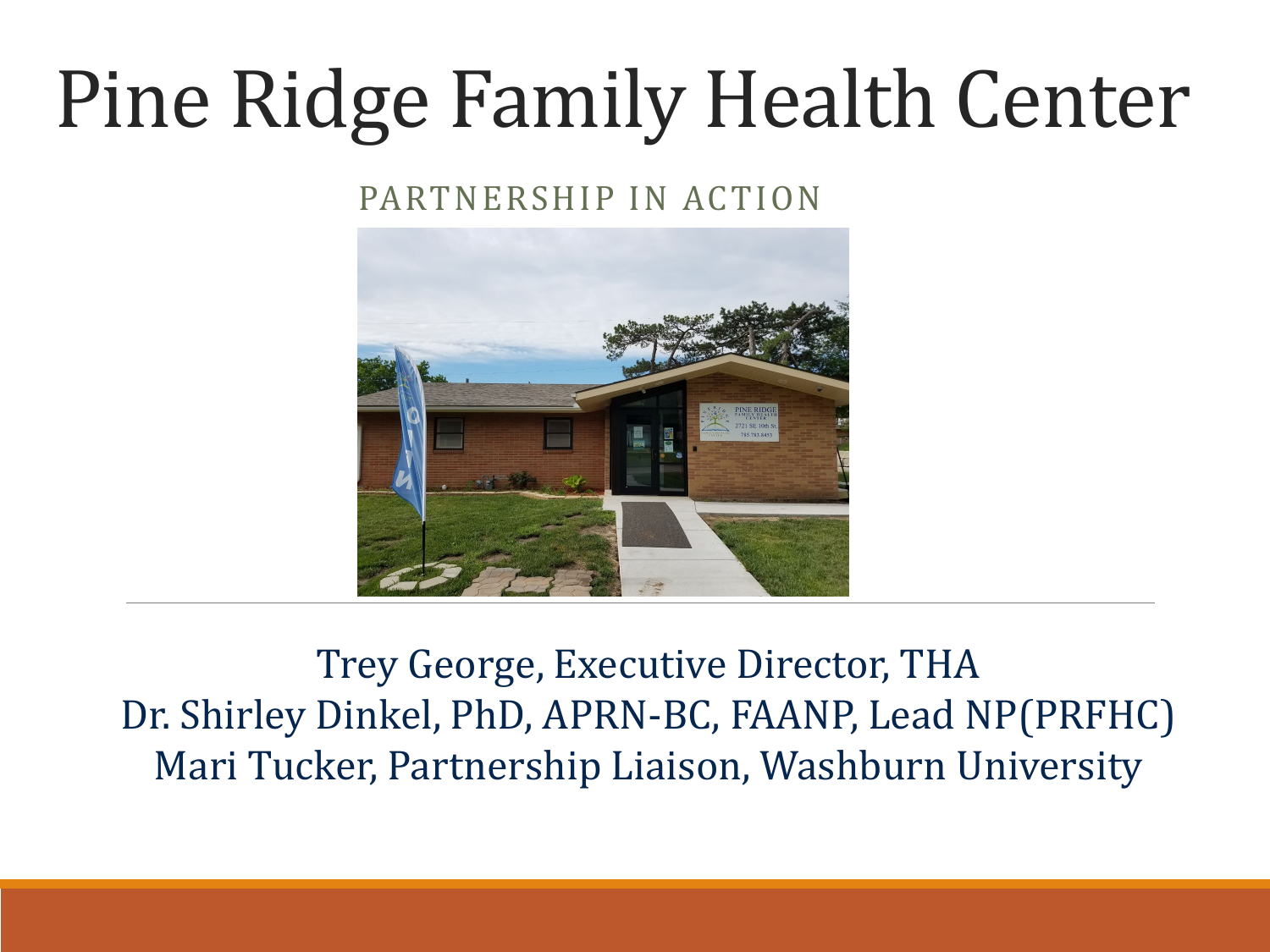#### Pine Ridge Family Health Center

#### PARTNERSHIP IN ACTION



Trey George, Executive Director, THA Dr. Shirley Dinkel, PhD, APRN-BC, FAANP, Lead NP(PRFHC) Mari Tucker, Partnership Liaison, Washburn University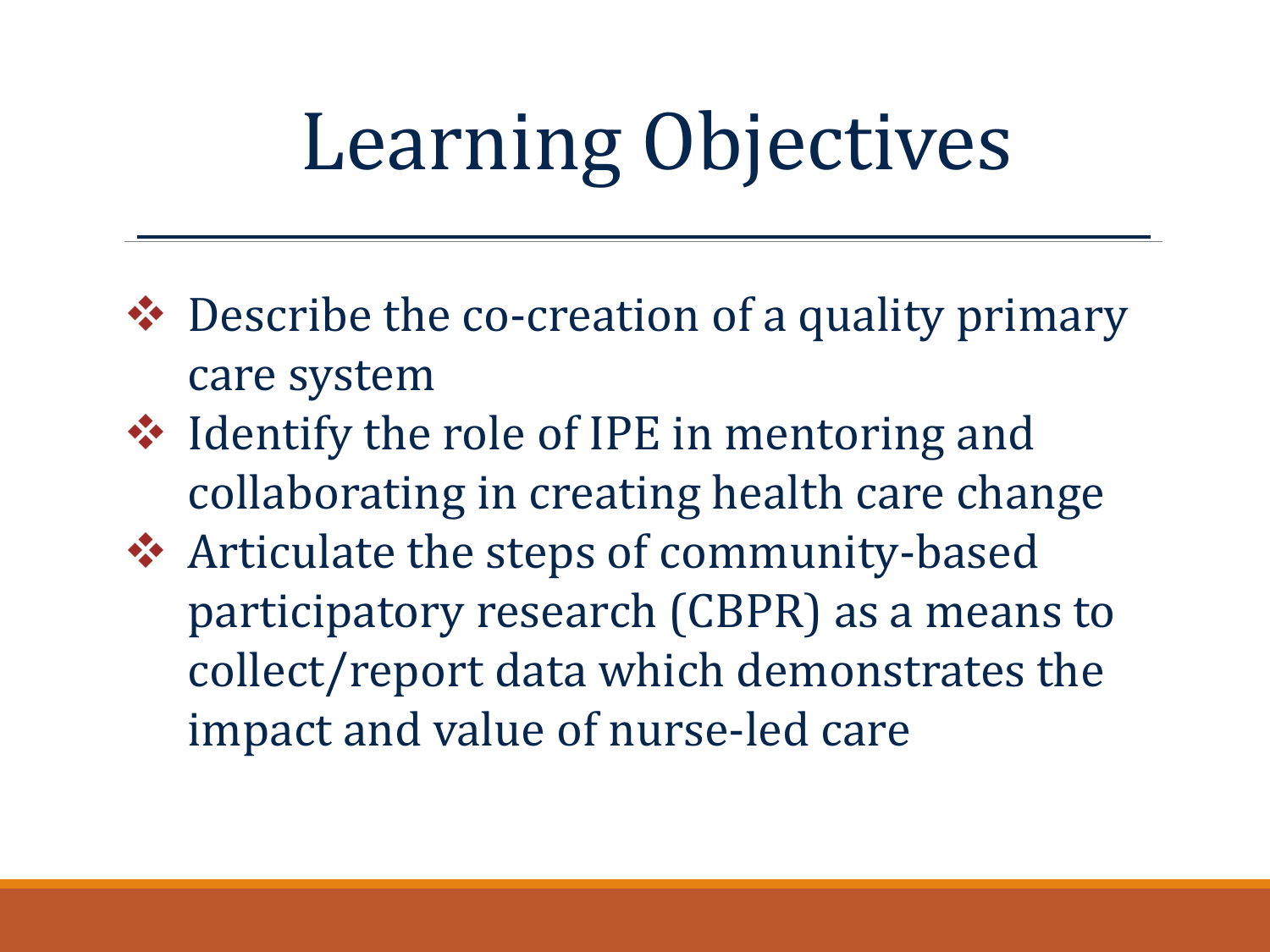#### Learning Objectives

- ◆ Describe the co-creation of a quality primary care system
- **❖** Identify the role of IPE in mentoring and collaborating in creating health care change
- **❖** Articulate the steps of community-based participatory research (CBPR) as a means to collect/report data which demonstrates the impact and value of nurse-led care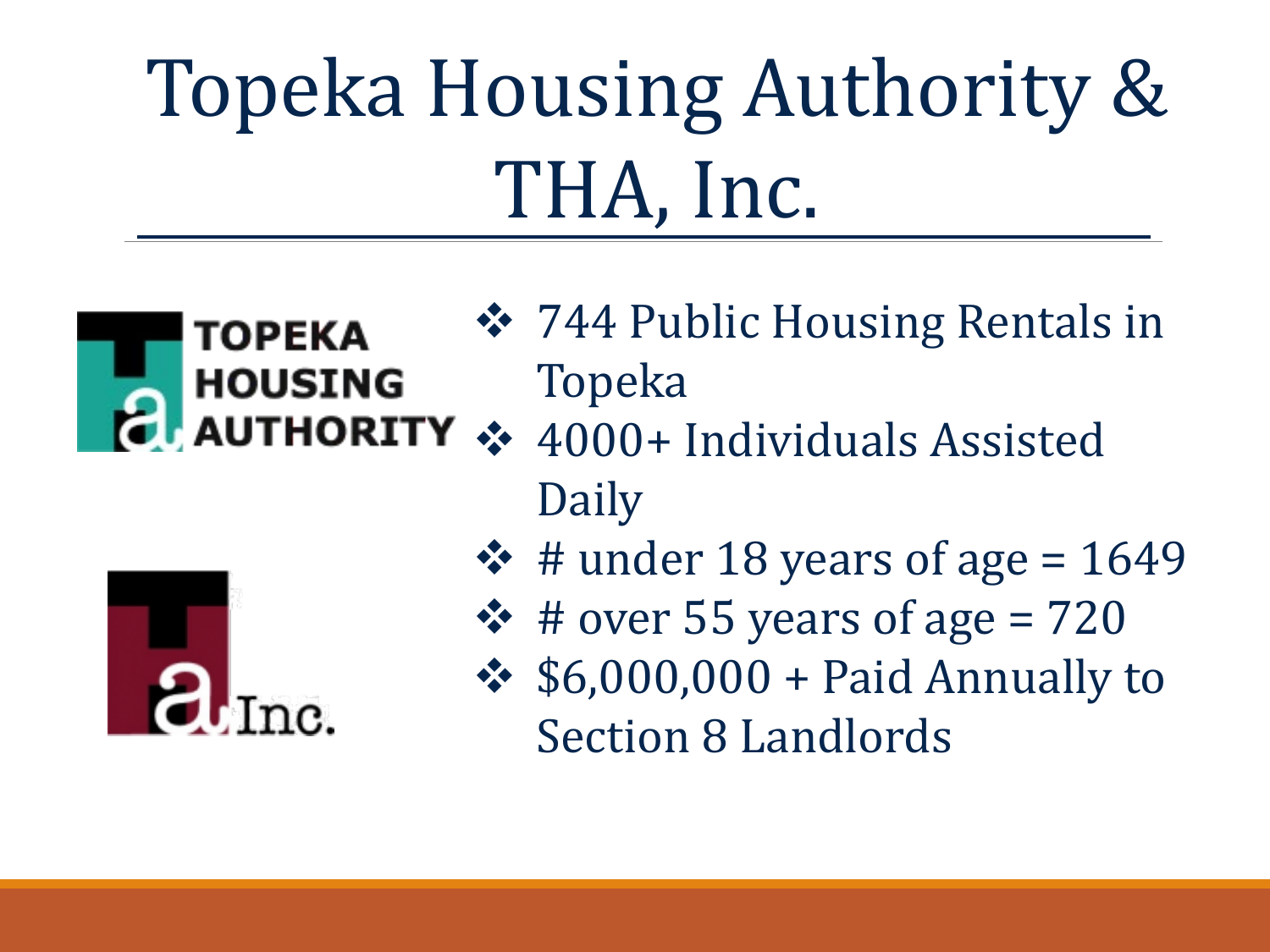#### Topeka Housing Authority & THA, Inc.



- **❖ 744 Public Housing Rentals in** Topeka
- 4000+ Individuals Assisted Daily



- $\div$  # under 18 years of age = 1649
- $\div$  # over 55 years of age = 720
- $\div$  \$6,000,000 + Paid Annually to Section 8 Landlords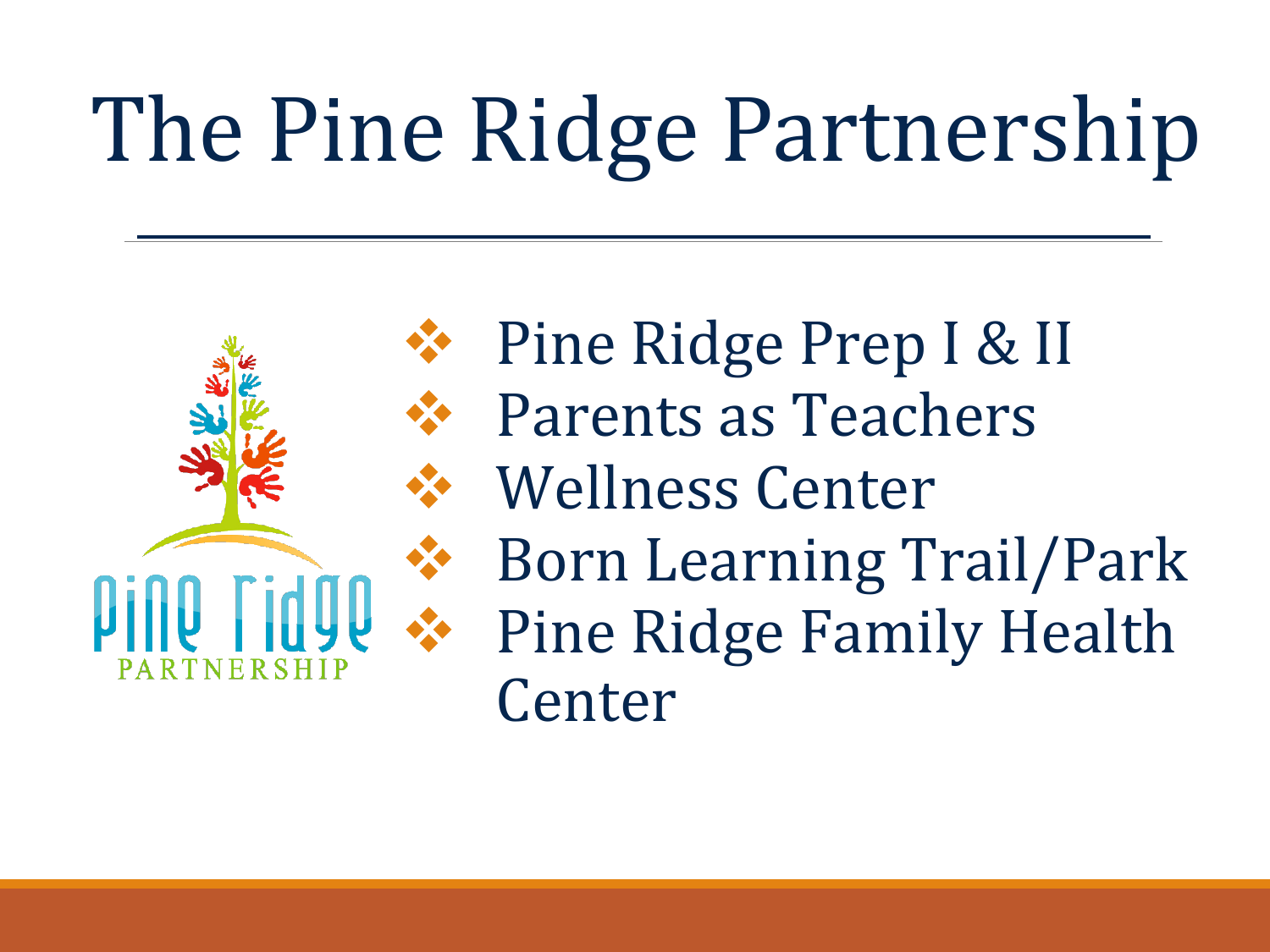# The Pine Ridge Partnership



 Pine Ridge Prep I & II Parents as Teachers Wellness Center Born Learning Trail/Park Pine Ridge Family Health Center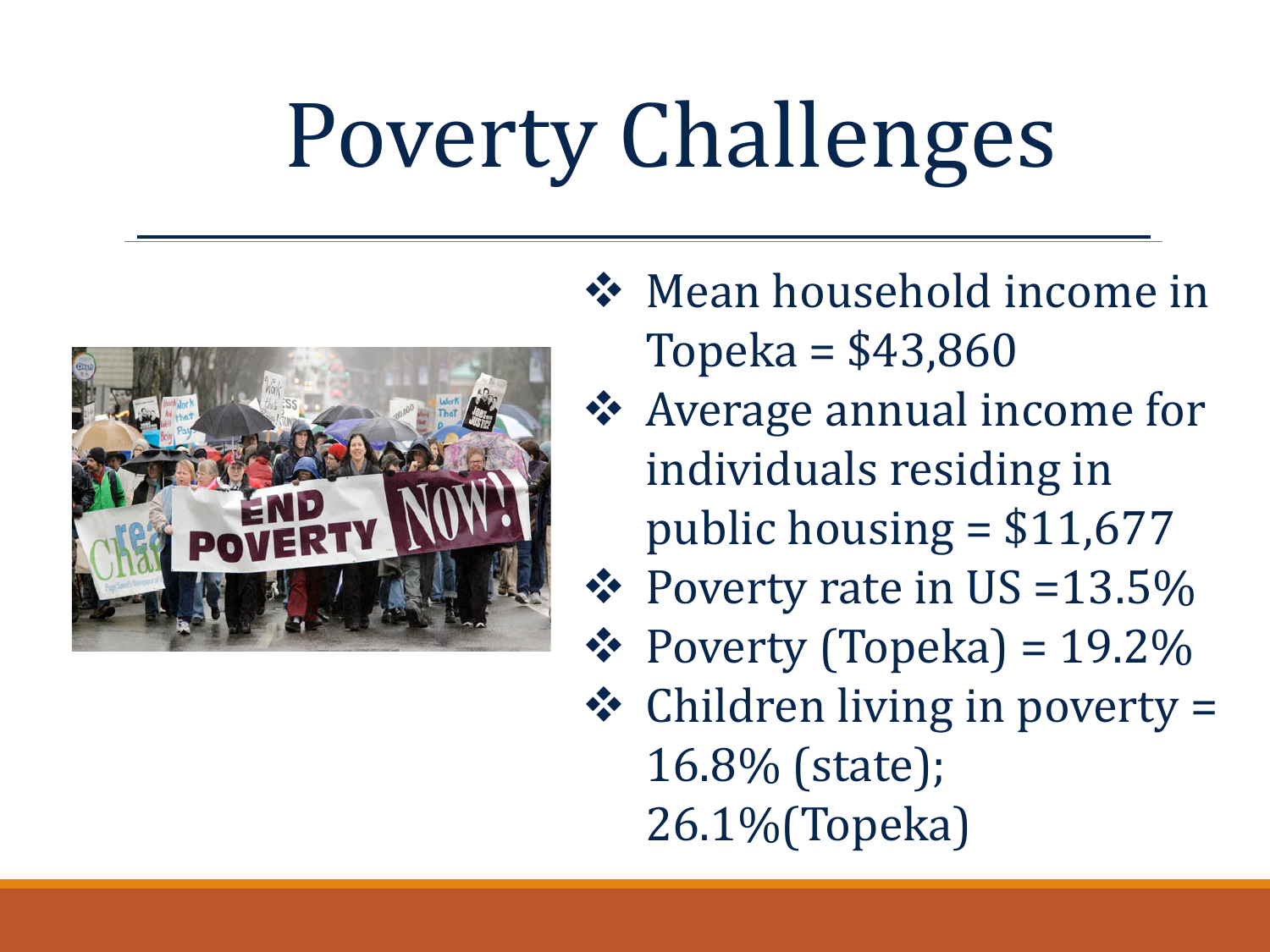# Poverty Challenges



- **❖** Mean household income in Topeka = \$43,860
- Average annual income for individuals residing in public housing  $= $11,677$
- $\div$  Poverty rate in US =13.5%
- $\div$  Poverty (Topeka) = 19.2%
- $\triangleleft$  Children living in poverty = 16.8% (state); 26.1%(Topeka)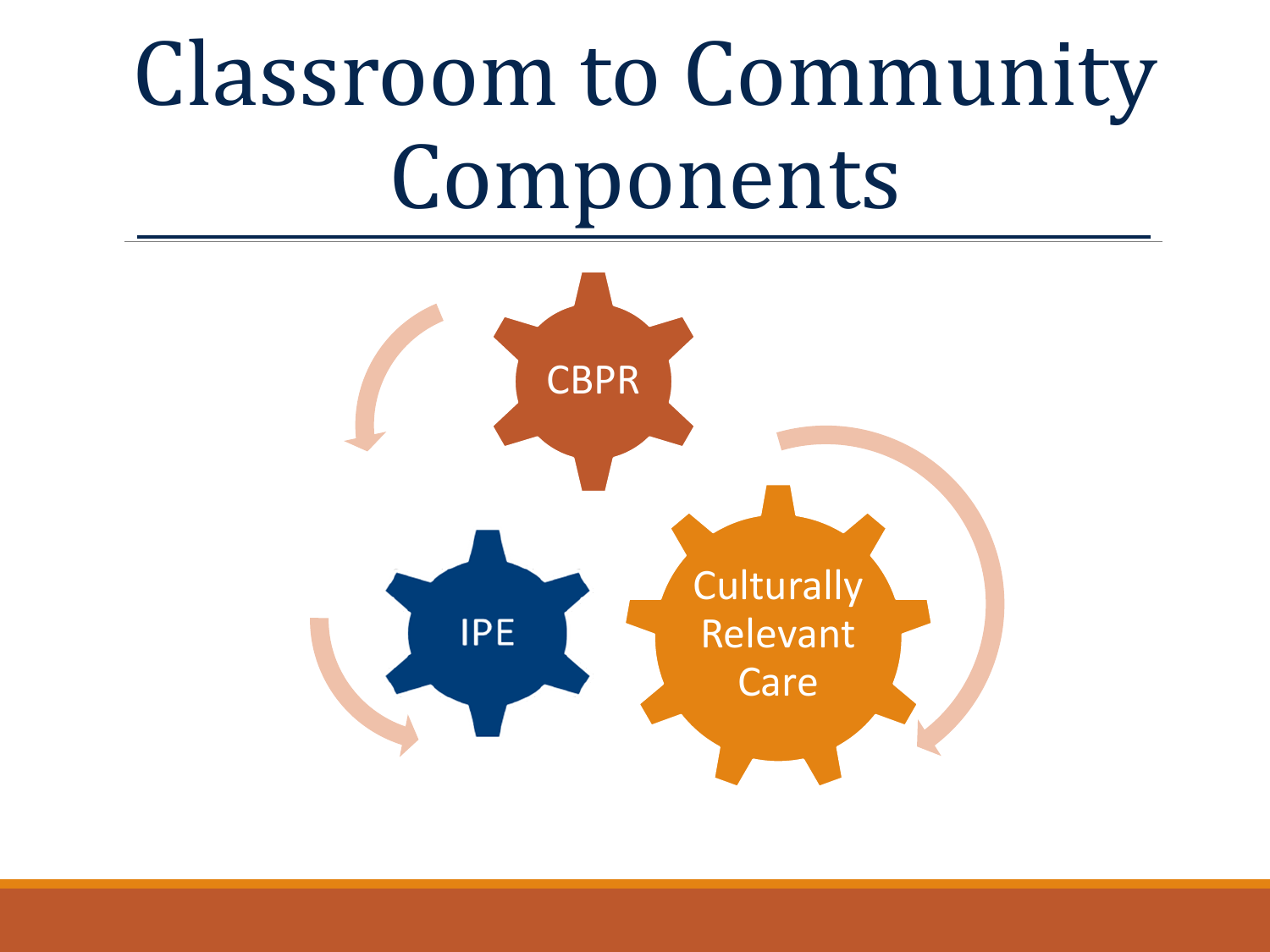### Classroom to Community Components

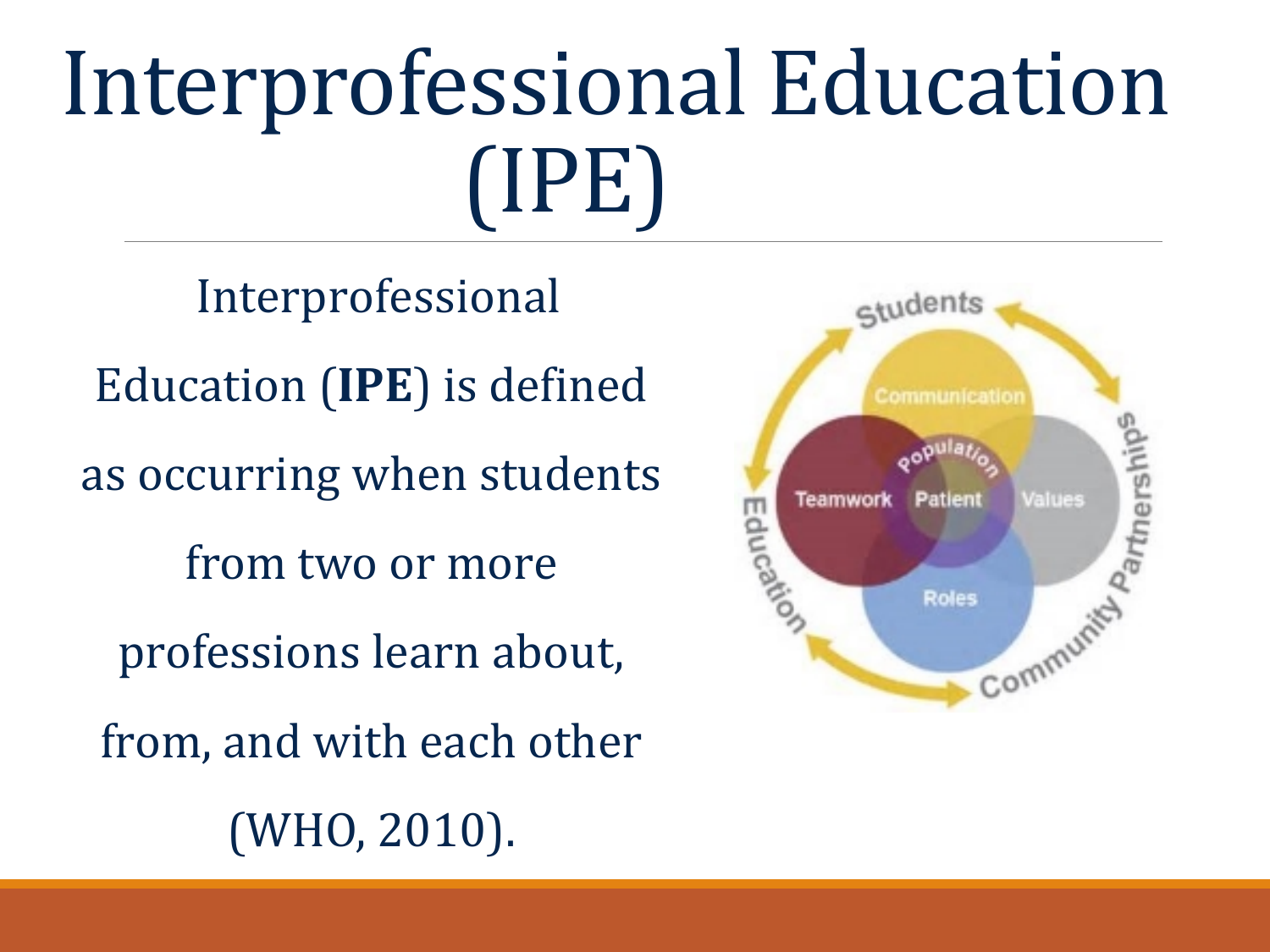### Interprofessional Education (IPE)

students

Educati

Teamworl

Communication

Patient

**Roles** 

Aartnership<sup>5</sup>

Values

Commun

Interprofessional Education (**IPE**) is defined as occurring when students from two or more professions learn about, from, and with each other (WHO, 2010).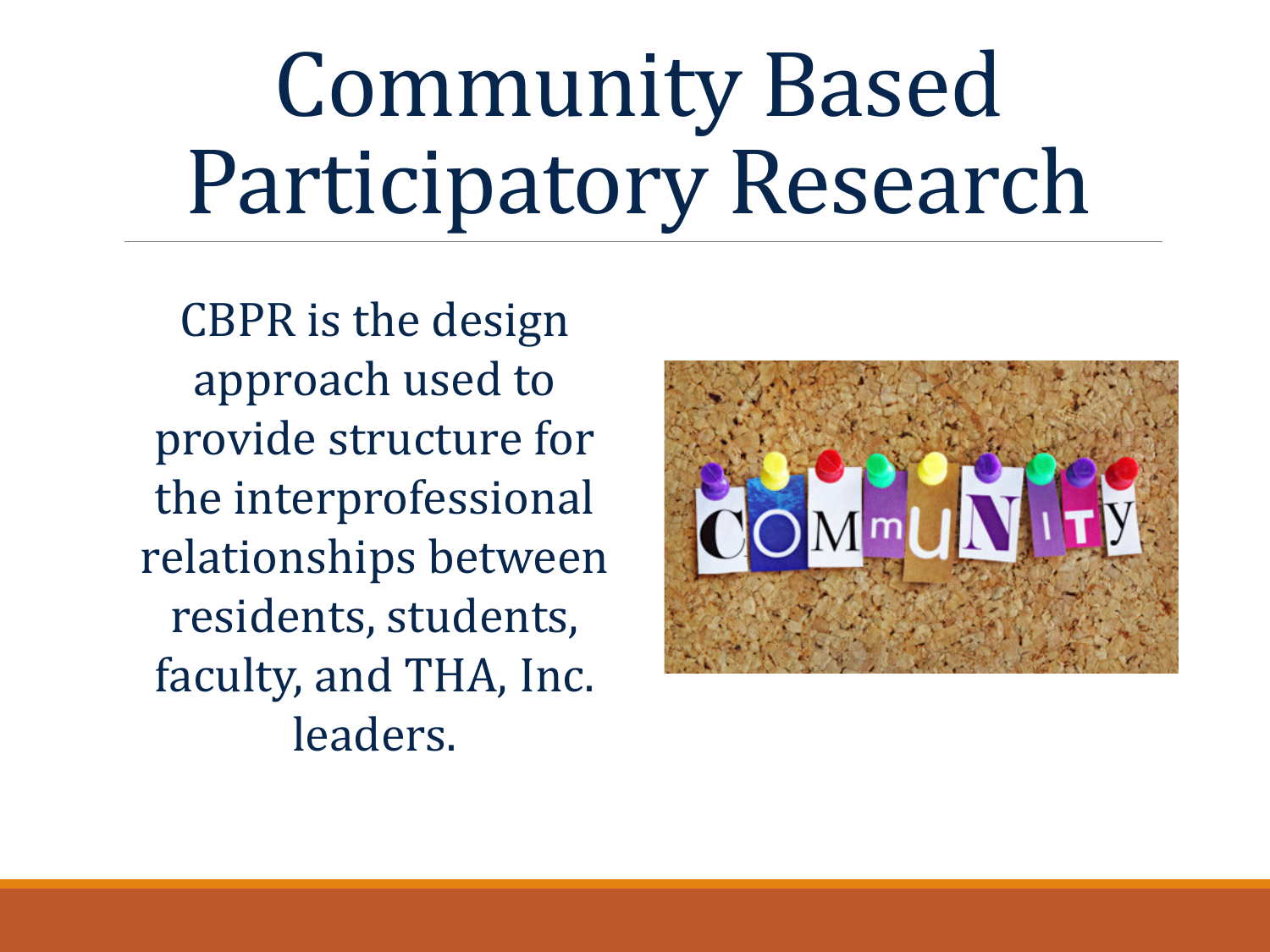### Community Based Participatory Research

CBPR is the design approach used to provide structure for the interprofessional relationships between residents, students, faculty, and THA, Inc. leaders.

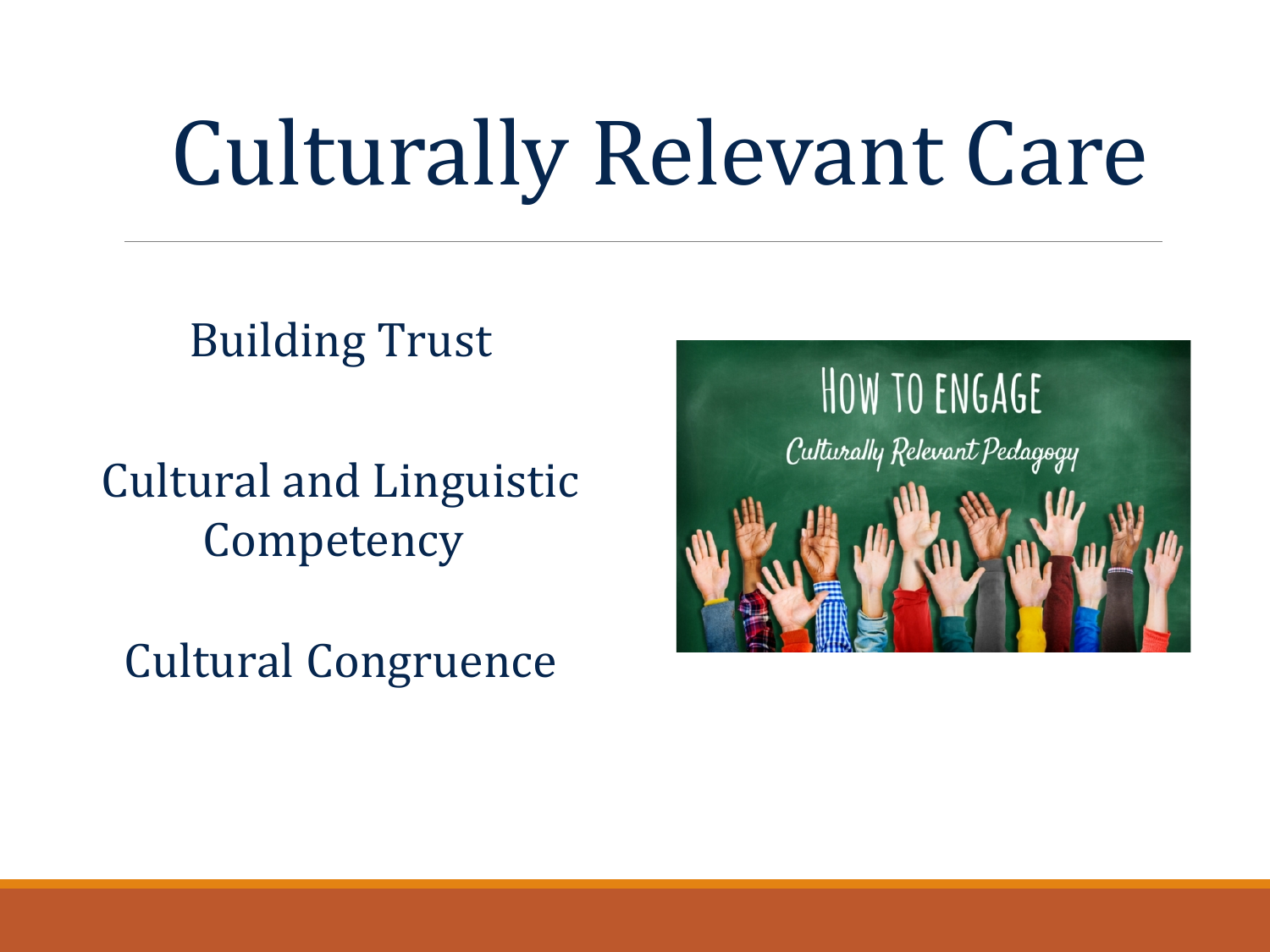## Culturally Relevant Care

#### Building Trust

Cultural and Linguistic **Competency** 

Cultural Congruence

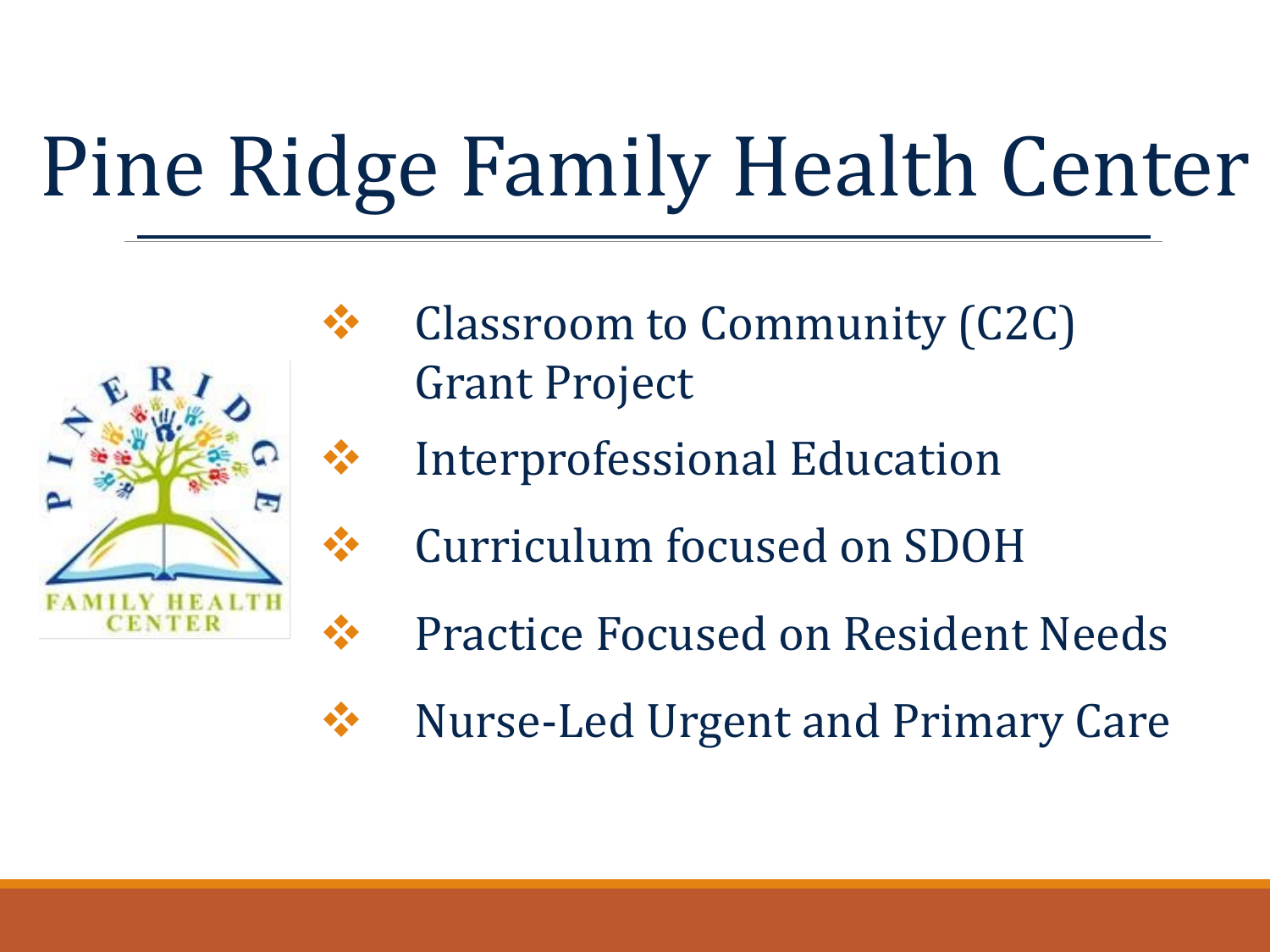### Pine Ridge Family Health Center



- Classroom to Community (C2C) Grant Project
- Interprofessional Education
- Curriculum focused on SDOH
- Practice Focused on Resident Needs
- **❖** Nurse-Led Urgent and Primary Care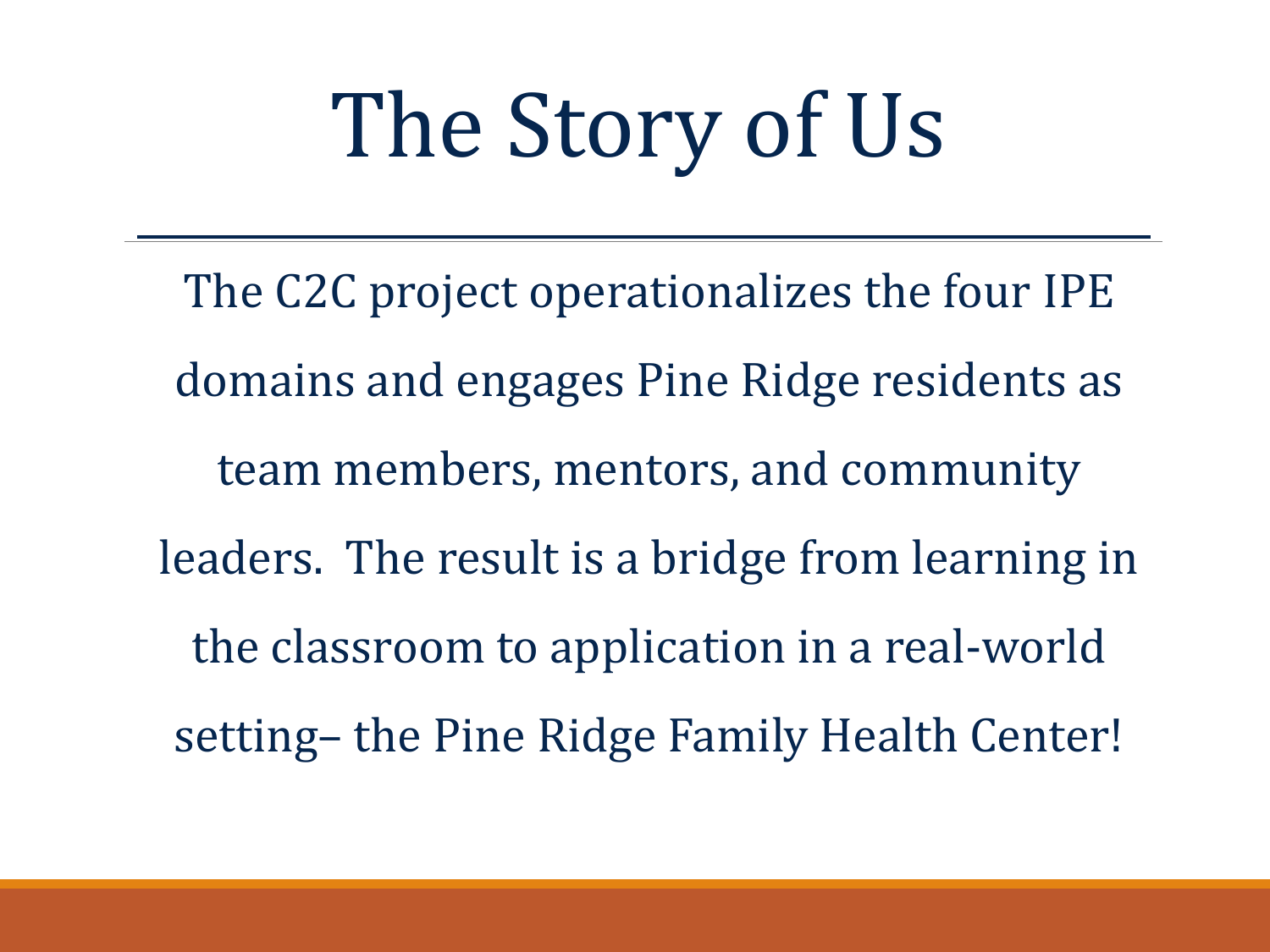# The Story of Us

The C2C project operationalizes the four IPE domains and engages Pine Ridge residents as team members, mentors, and community leaders. The result is a bridge from learning in the classroom to application in a real-world setting– the Pine Ridge Family Health Center!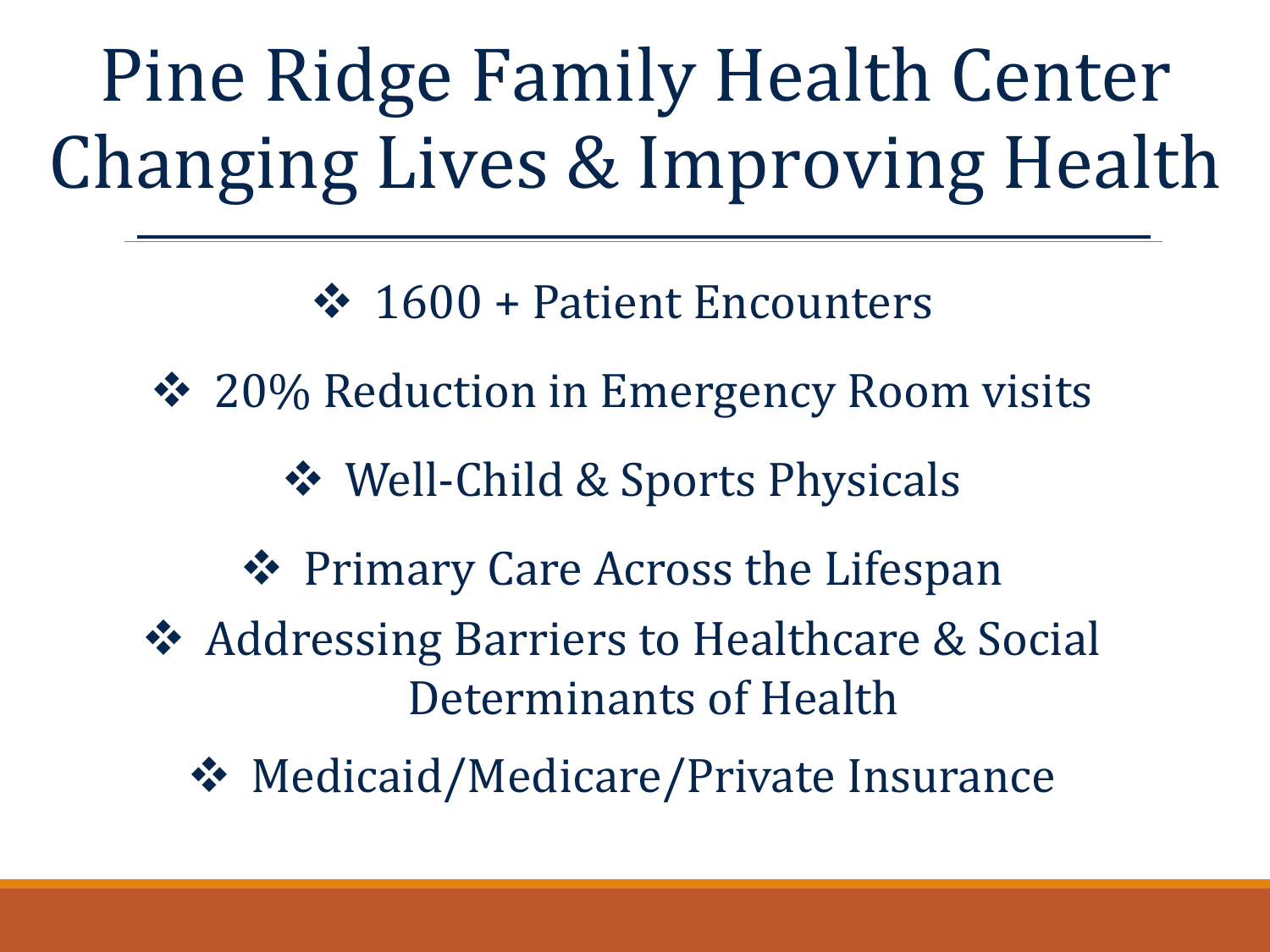Pine Ridge Family Health Center Changing Lives & Improving Health

 $\div$  1600 + Patient Encounters

❖ 20% Reduction in Emergency Room visits

Well-Child & Sports Physicals

❖ Primary Care Across the Lifespan

**❖ Addressing Barriers to Healthcare & Social** Determinants of Health

**❖** Medicaid/Medicare/Private Insurance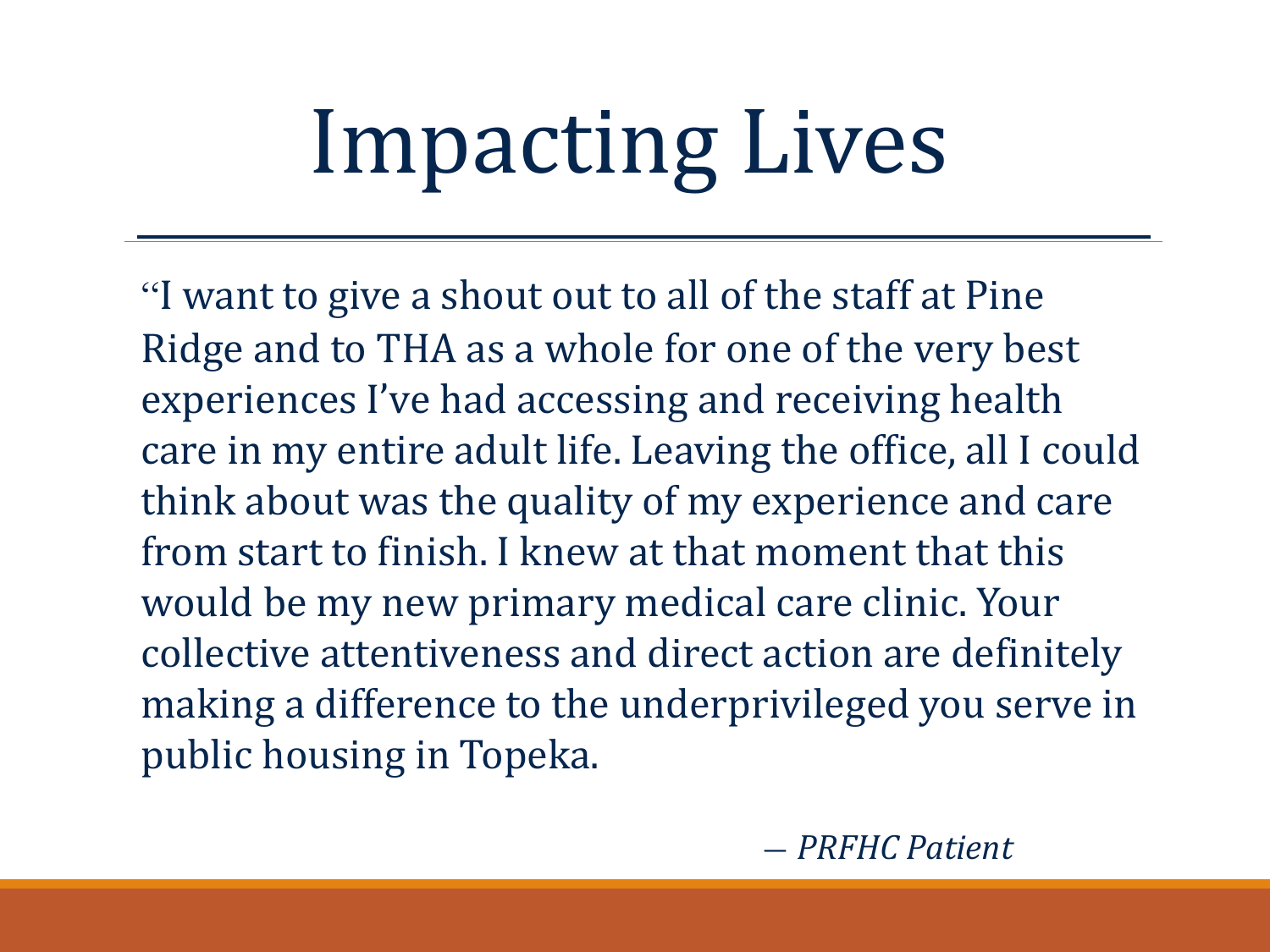# Impacting Lives

"I want to give a shout out to all of the staff at Pine Ridge and to THA as a whole for one of the very best experiences I've had accessing and receiving health care in my entire adult life. Leaving the office, all I could think about was the quality of my experience and care from start to finish. I knew at that moment that this would be my new primary medical care clinic. Your collective attentiveness and direct action are definitely making a difference to the underprivileged you serve in public housing in Topeka.